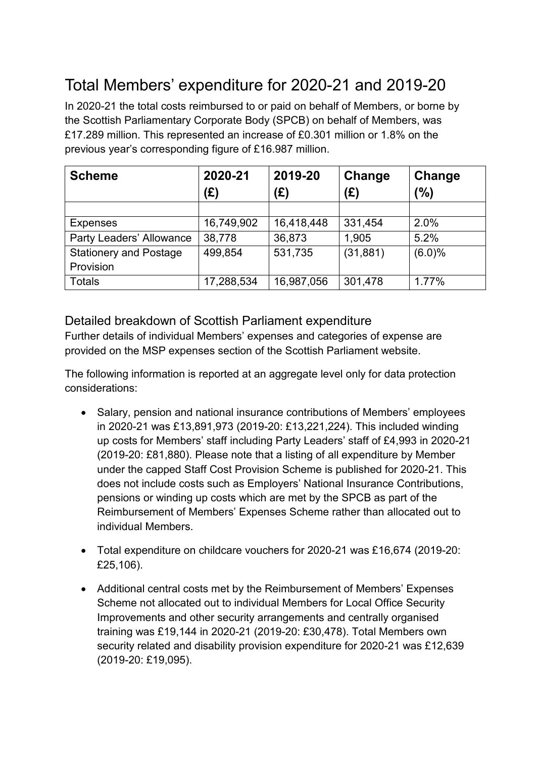# Total Members' expenditure for 2020-21 and 2019-20

In 2020-21 the total costs reimbursed to or paid on behalf of Members, or borne by the Scottish Parliamentary Corporate Body (SPCB) on behalf of Members, was £17.289 million. This represented an increase of £0.301 million or 1.8% on the previous year's corresponding figure of £16.987 million.

| <b>Scheme</b>                 | 2020-21    | 2019-20    | Change    | Change |
|-------------------------------|------------|------------|-----------|--------|
|                               | (£)        | (E)        | (E)       | (%)    |
|                               |            |            |           |        |
| <b>Expenses</b>               | 16,749,902 | 16,418,448 | 331,454   | 2.0%   |
| Party Leaders' Allowance      | 38,778     | 36,873     | 1,905     | 5.2%   |
| <b>Stationery and Postage</b> | 499,854    | 531,735    | (31, 881) | (6.0)% |
| Provision                     |            |            |           |        |
| <b>Totals</b>                 | 17,288,534 | 16,987,056 | 301,478   | 1.77%  |

### Detailed breakdown of Scottish Parliament expenditure

Further details of individual Members' expenses and categories of expense are provided on the MSP expenses section of the Scottish Parliament website.

The following information is reported at an aggregate level only for data protection considerations:

- Salary, pension and national insurance contributions of Members' employees in 2020-21 was £13,891,973 (2019-20: £13,221,224). This included winding up costs for Members' staff including Party Leaders' staff of £4,993 in 2020-21 (2019-20: £81,880). Please note that a listing of all expenditure by Member under the capped Staff Cost Provision Scheme is published for 2020-21. This does not include costs such as Employers' National Insurance Contributions, pensions or winding up costs which are met by the SPCB as part of the Reimbursement of Members' Expenses Scheme rather than allocated out to individual Members.
- Total expenditure on childcare vouchers for 2020-21 was £16,674 (2019-20: £25,106).
- Additional central costs met by the Reimbursement of Members' Expenses Scheme not allocated out to individual Members for Local Office Security Improvements and other security arrangements and centrally organised training was £19,144 in 2020-21 (2019-20: £30,478). Total Members own security related and disability provision expenditure for 2020-21 was £12,639 (2019-20: £19,095).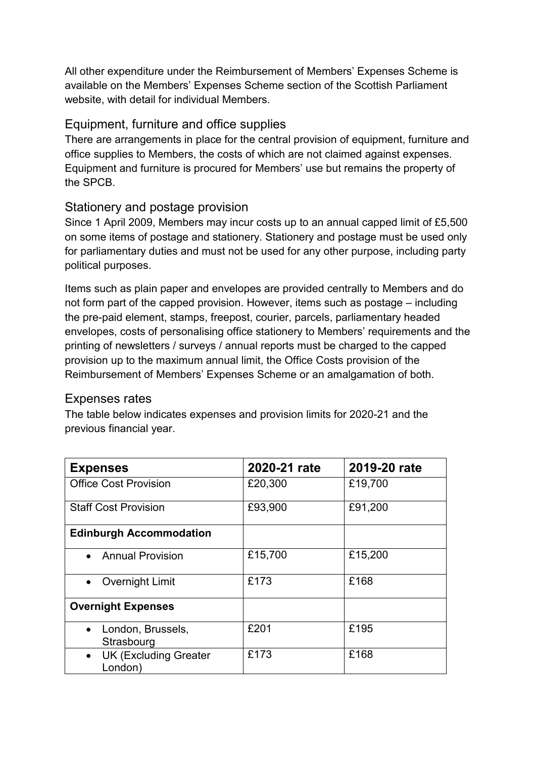All other expenditure under the Reimbursement of Members' Expenses Scheme is available on the Members' Expenses Scheme section of the Scottish Parliament website, with detail for individual Members.

#### Equipment, furniture and office supplies

There are arrangements in place for the central provision of equipment, furniture and office supplies to Members, the costs of which are not claimed against expenses. Equipment and furniture is procured for Members' use but remains the property of the SPCB.

### Stationery and postage provision

Since 1 April 2009, Members may incur costs up to an annual capped limit of £5,500 on some items of postage and stationery. Stationery and postage must be used only for parliamentary duties and must not be used for any other purpose, including party political purposes.

Items such as plain paper and envelopes are provided centrally to Members and do not form part of the capped provision. However, items such as postage – including the pre-paid element, stamps, freepost, courier, parcels, parliamentary headed envelopes, costs of personalising office stationery to Members' requirements and the printing of newsletters / surveys / annual reports must be charged to the capped provision up to the maximum annual limit, the Office Costs provision of the Reimbursement of Members' Expenses Scheme or an amalgamation of both.

### Expenses rates

The table below indicates expenses and provision limits for 2020-21 and the previous financial year.

| <b>Expenses</b>                         | 2020-21 rate | 2019-20 rate |
|-----------------------------------------|--------------|--------------|
| <b>Office Cost Provision</b>            | £20,300      | £19,700      |
| <b>Staff Cost Provision</b>             | £93,900      | £91,200      |
| <b>Edinburgh Accommodation</b>          |              |              |
| • Annual Provision                      | £15,700      | £15,200      |
| Overnight Limit<br>$\bullet$            | £173         | £168         |
| <b>Overnight Expenses</b>               |              |              |
| London, Brussels,<br>Strasbourg         | £201         | £195         |
| <b>UK (Excluding Greater</b><br>London) | £173         | £168         |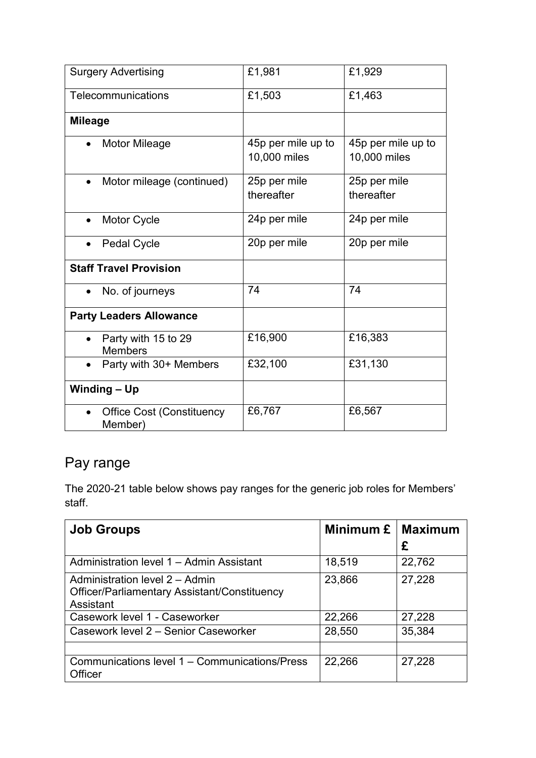| <b>Surgery Advertising</b>                  | £1,981                             | £1,929                             |  |
|---------------------------------------------|------------------------------------|------------------------------------|--|
| Telecommunications                          | £1,503                             | £1,463                             |  |
| <b>Mileage</b>                              |                                    |                                    |  |
| <b>Motor Mileage</b>                        | 45p per mile up to<br>10,000 miles | 45p per mile up to<br>10,000 miles |  |
| Motor mileage (continued)                   | 25p per mile<br>thereafter         | 25p per mile<br>thereafter         |  |
| Motor Cycle                                 | 24p per mile                       | 24p per mile                       |  |
| <b>Pedal Cycle</b>                          | 20p per mile                       | 20p per mile                       |  |
| <b>Staff Travel Provision</b>               |                                    |                                    |  |
| No. of journeys<br>$\bullet$                | 74                                 | 74                                 |  |
| <b>Party Leaders Allowance</b>              |                                    |                                    |  |
| Party with 15 to 29<br><b>Members</b>       | £16,900                            | £16,383                            |  |
| Party with 30+ Members                      | £32,100                            | £31,130                            |  |
| Winding - Up                                |                                    |                                    |  |
| <b>Office Cost (Constituency</b><br>Member) | £6,767                             | £6,567                             |  |

# Pay range

The 2020-21 table below shows pay ranges for the generic job roles for Members' staff.

| <b>Job Groups</b>                                                                           | Minimum £ | <b>Maximum</b><br>£ |
|---------------------------------------------------------------------------------------------|-----------|---------------------|
| Administration level 1 – Admin Assistant                                                    | 18,519    | 22,762              |
| Administration level 2 - Admin<br>Officer/Parliamentary Assistant/Constituency<br>Assistant | 23,866    | 27,228              |
| Casework level 1 - Caseworker                                                               | 22,266    | 27,228              |
| Casework level 2 - Senior Caseworker                                                        | 28,550    | 35,384              |
| Communications level 1 - Communications/Press<br>Officer                                    | 22,266    | 27,228              |